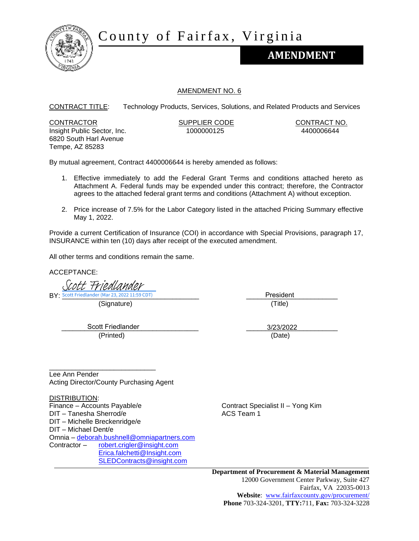

# County of Fairfax, Virginia

### **AMENDMENT**

AMENDMENT NO. 6

CONTRACT TITLE: Technology Products, Services, Solutions, and Related Products and Services

CONTRACTOR SUPPLIER CODE CONTRACT NO. Insight Public Sector, Inc. 1000000125 4400006644 6820 South Harl Avenue Tempe, AZ 85283

By mutual agreement, Contract 4400006644 is hereby amended as follows:

- 1. Effective immediately to add the Federal Grant Terms and conditions attached hereto as Attachment A. Federal funds may be expended under this contract; therefore, the Contractor agrees to the attached federal grant terms and conditions (Attachment A) without exception.
- 2. Price increase of 7.5% for the Labor Category listed in the attached Pricing Summary effective May 1, 2022.

Provide a current Certification of Insurance (COI) in accordance with Special Provisions, paragraph 17, INSURANCE within ten (10) days after receipt of the executed amendment.

All other terms and conditions remain the same.

ACCEPTANCE:

BY: \_\_\_\_\_\_\_\_\_\_\_\_\_\_\_\_\_\_\_\_\_\_\_\_\_\_\_\_\_\_\_\_\_\_\_\_ \_\_\_\_\_\_\_\_\_\_\_\_\_\_\_\_\_\_\_\_\_\_\_\_ Scott Friedlander (Mar 23, 2022 11:59 CDT) [Scott Friedlander](https://na2.documents.adobe.com/verifier?tx=CBJCHBCAABAAQN7lF72oxx1DyCnFHF8q3ioFKx5ICIb5)

(Signature) (Title)

\_\_\_\_\_\_\_\_\_\_\_\_\_\_\_\_\_\_\_\_\_\_\_\_\_\_\_\_\_\_\_\_\_\_\_\_ \_\_\_\_\_\_\_\_\_\_\_\_\_\_\_\_\_\_\_\_\_\_\_\_ Scott Friedlander 3/23/2022 (Printed) (Date)

President

\_\_\_\_\_\_\_\_\_\_\_\_\_\_\_\_\_\_\_\_\_\_\_\_\_\_\_\_ Lee Ann Pender Acting Director/County Purchasing Agent

DISTRIBUTION: Finance – Accounts Payable/e Contract Specialist II – Yong Kim DIT – Tanesha Sherrod/e ACS Team 1 DIT – Michelle Breckenridge/e DIT – Michael Dent/e Omnia – [deborah.bushnell@omniapartners.com](mailto:deborah.bushnell@omniapartners.com) Contractor – [robert.crigler@insight.com](mailto:robert.crigler@insight.com) [Erica.falchetti@Insight.com](mailto:Erica.falchetti@Insight.com) [SLEDContracts@insight.com](mailto:SLEDContracts@insight.com)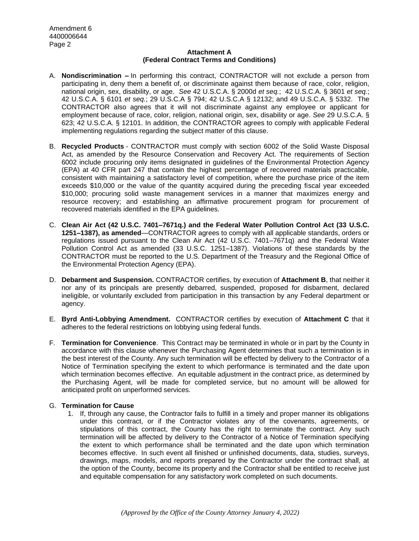- A. **Nondiscrimination –** In performing this contract, CONTRACTOR will not exclude a person from participating in, deny them a benefit of, or discriminate against them because of race, color, religion, national origin, sex, disability, or age. *See* 42 U.S.C.A. § 2000d *et seq.*; 42 U.S.C.A. § 3601 *et seq.*; 42 U.S.C.A. § 6101 *et seq.*; 29 U.S.C.A § 794; 42 U.S.C.A § 12132; and 49 U.S.C.A. § 5332. The CONTRACTOR also agrees that it will not discriminate against any employee or applicant for employment because of race, color, religion, national origin, sex, disability or age. *See* 29 U.S.C.A. § 623; 42 U.S.C.A. § 12101. In addition, the CONTRACTOR agrees to comply with applicable Federal implementing regulations regarding the subject matter of this clause.
- B. **Recycled Products** CONTRACTOR must comply with section 6002 of the Solid Waste Disposal Act, as amended by the Resource Conservation and Recovery Act. The requirements of Section 6002 include procuring only items designated in guidelines of the Environmental Protection Agency (EPA) at 40 CFR part 247 that contain the highest percentage of recovered materials practicable, consistent with maintaining a satisfactory level of competition, where the purchase price of the item exceeds \$10,000 or the value of the quantity acquired during the preceding fiscal year exceeded \$10,000; procuring solid waste management services in a manner that maximizes energy and resource recovery; and establishing an affirmative procurement program for procurement of recovered materials identified in the EPA guidelines.
- C. **Clean Air Act (42 U.S.C. 7401–7671q.) and the Federal Water Pollution Control Act (33 U.S.C. 1251–1387), as amended**—CONTRACTOR agrees to comply with all applicable standards, orders or regulations issued pursuant to the Clean Air Act (42 U.S.C. 7401–7671q) and the Federal Water Pollution Control Act as amended (33 U.S.C. 1251–1387). Violations of these standards by the CONTRACTOR must be reported to the U.S. Department of the Treasury and the Regional Office of the Environmental Protection Agency (EPA).
- D. **Debarment and Suspension.** CONTRACTOR certifies, by execution of **Attachment B**, that neither it nor any of its principals are presently debarred, suspended, proposed for disbarment, declared ineligible, or voluntarily excluded from participation in this transaction by any Federal department or agency.
- E. **Byrd Anti-Lobbying Amendment.** CONTRACTOR certifies by execution of **Attachment C** that it adheres to the federal restrictions on lobbying using federal funds.
- F. **Termination for Convenience**. This Contract may be terminated in whole or in part by the County in accordance with this clause whenever the Purchasing Agent determines that such a termination is in the best interest of the County. Any such termination will be effected by delivery to the Contractor of a Notice of Termination specifying the extent to which performance is terminated and the date upon which termination becomes effective. An equitable adjustment in the contract price, as determined by the Purchasing Agent, will be made for completed service, but no amount will be allowed for anticipated profit on unperformed services.

#### G. **Termination for Cause**

1. If, through any cause, the Contractor fails to fulfill in a timely and proper manner its obligations under this contract, or if the Contractor violates any of the covenants, agreements, or stipulations of this contract, the County has the right to terminate the contract. Any such termination will be affected by delivery to the Contractor of a Notice of Termination specifying the extent to which performance shall be terminated and the date upon which termination becomes effective. In such event all finished or unfinished documents, data, studies, surveys, drawings, maps, models, and reports prepared by the Contractor under the contract shall, at the option of the County, become its property and the Contractor shall be entitled to receive just and equitable compensation for any satisfactory work completed on such documents.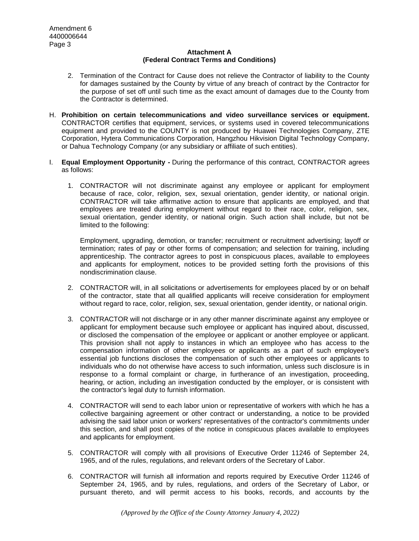- 2. Termination of the Contract for Cause does not relieve the Contractor of liability to the County for damages sustained by the County by virtue of any breach of contract by the Contractor for the purpose of set off until such time as the exact amount of damages due to the County from the Contractor is determined.
- H. **Prohibition on certain telecommunications and video surveillance services or equipment.** CONTRACTOR certifies that equipment, services, or systems used in covered telecommunications equipment and provided to the COUNTY is not produced by Huawei Technologies Company, ZTE Corporation, Hytera Communications Corporation, Hangzhou Hikvision Digital Technology Company, or Dahua Technology Company (or any subsidiary or affiliate of such entities).
- I. **Equal Employment Opportunity -** During the performance of this contract, CONTRACTOR agrees as follows:
	- 1. CONTRACTOR will not discriminate against any employee or applicant for employment because of race, color, religion, sex, sexual orientation, gender identity, or national origin. CONTRACTOR will take affirmative action to ensure that applicants are employed, and that employees are treated during employment without regard to their race, color, religion, sex, sexual orientation, gender identity, or national origin. Such action shall include, but not be limited to the following:

Employment, upgrading, demotion, or transfer; recruitment or recruitment advertising; layoff or termination; rates of pay or other forms of compensation; and selection for training, including apprenticeship. The contractor agrees to post in conspicuous places, available to employees and applicants for employment, notices to be provided setting forth the provisions of this nondiscrimination clause.

- 2. CONTRACTOR will, in all solicitations or advertisements for employees placed by or on behalf of the contractor, state that all qualified applicants will receive consideration for employment without regard to race, color, religion, sex, sexual orientation, gender identity, or national origin.
- 3. CONTRACTOR will not discharge or in any other manner discriminate against any employee or applicant for employment because such employee or applicant has inquired about, discussed, or disclosed the compensation of the employee or applicant or another employee or applicant. This provision shall not apply to instances in which an employee who has access to the compensation information of other employees or applicants as a part of such employee's essential job functions discloses the compensation of such other employees or applicants to individuals who do not otherwise have access to such information, unless such disclosure is in response to a formal complaint or charge, in furtherance of an investigation, proceeding, hearing, or action, including an investigation conducted by the employer, or is consistent with the contractor's legal duty to furnish information.
- 4. CONTRACTOR will send to each labor union or representative of workers with which he has a collective bargaining agreement or other contract or understanding, a notice to be provided advising the said labor union or workers' representatives of the contractor's commitments under this section, and shall post copies of the notice in conspicuous places available to employees and applicants for employment.
- 5. CONTRACTOR will comply with all provisions of Executive Order 11246 of September 24, 1965, and of the rules, regulations, and relevant orders of the Secretary of Labor.
- 6. CONTRACTOR will furnish all information and reports required by Executive Order 11246 of September 24, 1965, and by rules, regulations, and orders of the Secretary of Labor, or pursuant thereto, and will permit access to his books, records, and accounts by the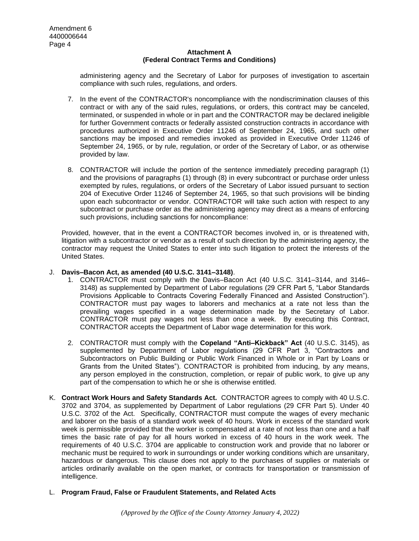administering agency and the Secretary of Labor for purposes of investigation to ascertain compliance with such rules, regulations, and orders.

- 7. In the event of the CONTRACTOR's noncompliance with the nondiscrimination clauses of this contract or with any of the said rules, regulations, or orders, this contract may be canceled, terminated, or suspended in whole or in part and the CONTRACTOR may be declared ineligible for further Government contracts or federally assisted construction contracts in accordance with procedures authorized in Executive Order 11246 of September 24, 1965, and such other sanctions may be imposed and remedies invoked as provided in Executive Order 11246 of September 24, 1965, or by rule, regulation, or order of the Secretary of Labor, or as otherwise provided by law.
- 8. CONTRACTOR will include the portion of the sentence immediately preceding paragraph (1) and the provisions of paragraphs (1) through (8) in every subcontract or purchase order unless exempted by rules, regulations, or orders of the Secretary of Labor issued pursuant to section 204 of Executive Order 11246 of September 24, 1965, so that such provisions will be binding upon each subcontractor or vendor. CONTRACTOR will take such action with respect to any subcontract or purchase order as the administering agency may direct as a means of enforcing such provisions, including sanctions for noncompliance:

Provided, however, that in the event a CONTRACTOR becomes involved in, or is threatened with, litigation with a subcontractor or vendor as a result of such direction by the administering agency, the contractor may request the United States to enter into such litigation to protect the interests of the United States.

#### J. **Davis–Bacon Act, as amended (40 U.S.C. 3141–3148)**.

- 1. CONTRACTOR must comply with the Davis–Bacon Act (40 U.S.C. 3141–3144, and 3146– 3148) as supplemented by Department of Labor regulations (29 CFR Part 5, "Labor Standards Provisions Applicable to Contracts Covering Federally Financed and Assisted Construction"). CONTRACTOR must pay wages to laborers and mechanics at a rate not less than the prevailing wages specified in a wage determination made by the Secretary of Labor. CONTRACTOR must pay wages not less than once a week. By executing this Contract, CONTRACTOR accepts the Department of Labor wage determination for this work.
- 2. CONTRACTOR must comply with the **Copeland "Anti–Kickback" Act** (40 U.S.C. 3145), as supplemented by Department of Labor regulations (29 CFR Part 3, "Contractors and Subcontractors on Public Building or Public Work Financed in Whole or in Part by Loans or Grants from the United States"). CONTRACTOR is prohibited from inducing, by any means, any person employed in the construction, completion, or repair of public work, to give up any part of the compensation to which he or she is otherwise entitled.
- K. **Contract Work Hours and Safety Standards Act.** CONTRACTOR agrees to comply with 40 U.S.C. 3702 and 3704, as supplemented by Department of Labor regulations (29 CFR Part 5). Under 40 U.S.C. 3702 of the Act. Specifically, CONTRACTOR must compute the wages of every mechanic and laborer on the basis of a standard work week of 40 hours. Work in excess of the standard work week is permissible provided that the worker is compensated at a rate of not less than one and a half times the basic rate of pay for all hours worked in excess of 40 hours in the work week. The requirements of 40 U.S.C. 3704 are applicable to construction work and provide that no laborer or mechanic must be required to work in surroundings or under working conditions which are unsanitary, hazardous or dangerous. This clause does not apply to the purchases of supplies or materials or articles ordinarily available on the open market, or contracts for transportation or transmission of intelligence.
- L. **Program Fraud, False or Fraudulent Statements, and Related Acts**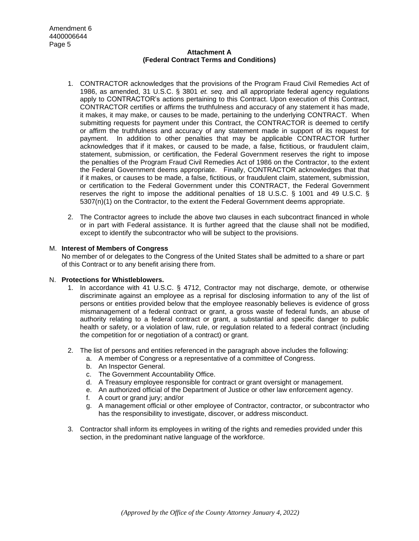- 1. CONTRACTOR acknowledges that the provisions of the Program Fraud Civil Remedies Act of 1986, as amended, 31 U.S.C. § 3801 *et. seq.* and all appropriate federal agency regulations apply to CONTRACTOR's actions pertaining to this Contract. Upon execution of this Contract, CONTRACTOR certifies or affirms the truthfulness and accuracy of any statement it has made, it makes, it may make, or causes to be made, pertaining to the underlying CONTRACT. When submitting requests for payment under this Contract, the CONTRACTOR is deemed to certify or affirm the truthfulness and accuracy of any statement made in support of its request for payment. In addition to other penalties that may be applicable CONTRACTOR further acknowledges that if it makes, or caused to be made, a false, fictitious, or fraudulent claim, statement, submission, or certification, the Federal Government reserves the right to impose the penalties of the Program Fraud Civil Remedies Act of 1986 on the Contractor, to the extent the Federal Government deems appropriate. Finally, CONTRACTOR acknowledges that that if it makes, or causes to be made, a false, fictitious, or fraudulent claim, statement, submission, or certification to the Federal Government under this CONTRACT, the Federal Government reserves the right to impose the additional penalties of 18 U.S.C. § 1001 and 49 U.S.C. § 5307(n)(1) on the Contractor, to the extent the Federal Government deems appropriate.
- 2. The Contractor agrees to include the above two clauses in each subcontract financed in whole or in part with Federal assistance. It is further agreed that the clause shall not be modified, except to identify the subcontractor who will be subject to the provisions.

#### M. **Interest of Members of Congress**

No member of or delegates to the Congress of the United States shall be admitted to a share or part of this Contract or to any benefit arising there from.

#### N. **Protections for Whistleblowers.**

- 1. In accordance with 41 U.S.C. § 4712, Contractor may not discharge, demote, or otherwise discriminate against an employee as a reprisal for disclosing information to any of the list of persons or entities provided below that the employee reasonably believes is evidence of gross mismanagement of a federal contract or grant, a gross waste of federal funds, an abuse of authority relating to a federal contract or grant, a substantial and specific danger to public health or safety, or a violation of law, rule, or regulation related to a federal contract (including the competition for or negotiation of a contract) or grant.
- 2. The list of persons and entities referenced in the paragraph above includes the following:
	- a. A member of Congress or a representative of a committee of Congress.
	- b. An Inspector General.
	- c. The Government Accountability Office.
	- d. A Treasury employee responsible for contract or grant oversight or management.
	- e. An authorized official of the Department of Justice or other law enforcement agency.
	- f. A court or grand jury; and/or
	- g. A management official or other employee of Contractor, contractor, or subcontractor who has the responsibility to investigate, discover, or address misconduct.
- 3. Contractor shall inform its employees in writing of the rights and remedies provided under this section, in the predominant native language of the workforce.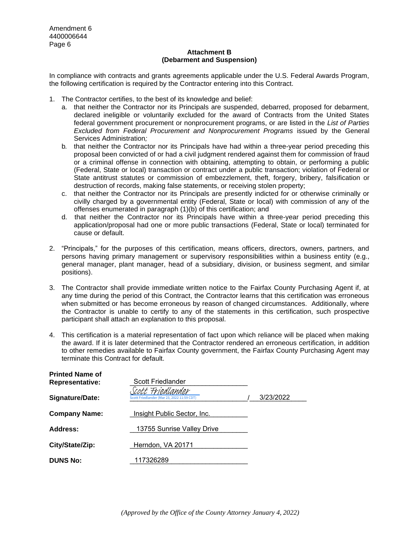**Printed Name of** 

#### **Attachment B (Debarment and Suspension)**

In compliance with contracts and grants agreements applicable under the U.S. Federal Awards Program, the following certification is required by the Contractor entering into this Contract.

- 1. The Contractor certifies, to the best of its knowledge and belief:
	- a. that neither the Contractor nor its Principals are suspended, debarred, proposed for debarment, declared ineligible or voluntarily excluded for the award of Contracts from the United States federal government procurement or nonprocurement programs, or are listed in the *List of Parties Excluded from Federal Procurement and Nonprocurement Programs* issued by the General Services Administration*;*
	- b*.* that neither the Contractor nor its Principals have had within a three-year period preceding this proposal been convicted of or had a civil judgment rendered against them for commission of fraud or a criminal offense in connection with obtaining, attempting to obtain, or performing a public (Federal, State or local) transaction or contract under a public transaction; violation of Federal or State antitrust statutes or commission of embezzlement, theft, forgery, bribery, falsification or destruction of records, making false statements, or receiving stolen property;
	- c. that neither the Contractor nor its Principals are presently indicted for or otherwise criminally or civilly charged by a governmental entity (Federal, State or local) with commission of any of the offenses enumerated in paragraph (1)(b) of this certification; and
	- d. that neither the Contractor nor its Principals have within a three-year period preceding this application/proposal had one or more public transactions (Federal, State or local) terminated for cause or default.
- 2. "Principals," for the purposes of this certification, means officers, directors, owners, partners, and persons having primary management or supervisory responsibilities within a business entity (e.g., general manager, plant manager, head of a subsidiary, division, or business segment, and similar positions).
- 3. The Contractor shall provide immediate written notice to the Fairfax County Purchasing Agent if, at any time during the period of this Contract, the Contractor learns that this certification was erroneous when submitted or has become erroneous by reason of changed circumstances. Additionally, where the Contractor is unable to certify to any of the statements in this certification, such prospective participant shall attach an explanation to this proposal.
- 4. This certification is a material representation of fact upon which reliance will be placed when making the award. If it is later determined that the Contractor rendered an erroneous certification, in addition to other remedies available to Fairfax County government, the Fairfax County Purchasing Agent may terminate this Contract for default.

| PHILE DI NATILE OF<br>Representative: | Scott Friedlander<br>Scott Friedlander     |           |
|---------------------------------------|--------------------------------------------|-----------|
| Signature/Date:                       | Scott Friedlander (Mar 23, 2022 11:59 CDT) | 3/23/2022 |
| <b>Company Name:</b>                  | Insight Public Sector, Inc.                |           |
| Address:                              | 13755 Sunrise Valley Drive                 |           |
| City/State/Zip:                       | Herndon, VA 20171                          |           |
| <b>DUNS No:</b>                       | 117326289                                  |           |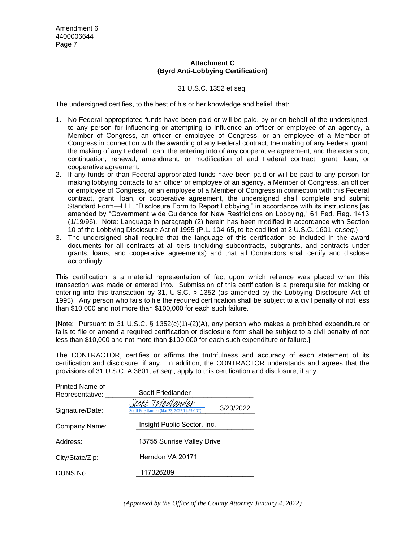#### **Attachment C (Byrd Anti-Lobbying Certification)**

#### 31 U.S.C. 1352 et seq.

The undersigned certifies, to the best of his or her knowledge and belief, that:

- 1. No Federal appropriated funds have been paid or will be paid, by or on behalf of the undersigned, to any person for influencing or attempting to influence an officer or employee of an agency, a Member of Congress, an officer or employee of Congress, or an employee of a Member of Congress in connection with the awarding of any Federal contract, the making of any Federal grant, the making of any Federal Loan, the entering into of any cooperative agreement, and the extension, continuation, renewal, amendment, or modification of and Federal contract, grant, loan, or cooperative agreement.
- 2. If any funds or than Federal appropriated funds have been paid or will be paid to any person for making lobbying contacts to an officer or employee of an agency, a Member of Congress, an officer or employee of Congress, or an employee of a Member of Congress in connection with this Federal contract, grant, loan, or cooperative agreement, the undersigned shall complete and submit Standard Form—LLL, "Disclosure Form to Report Lobbying," in accordance with its instructions [as amended by "Government wide Guidance for New Restrictions on Lobbying," 61 Fed. Reg. 1413 (1/19/96). Note: Language in paragraph (2) herein has been modified in accordance with Section 10 of the Lobbying Disclosure Act of 1995 (P.L. 104-65, to be codified at 2 U.S.C. 1601, *et.seq.*)
- 3. The undersigned shall require that the language of this certification be included in the award documents for all contracts at all tiers (including subcontracts, subgrants, and contracts under grants, loans, and cooperative agreements) and that all Contractors shall certify and disclose accordingly.

This certification is a material representation of fact upon which reliance was placed when this transaction was made or entered into. Submission of this certification is a prerequisite for making or entering into this transaction by 31, U.S.C. § 1352 (as amended by the Lobbying Disclosure Act of 1995). Any person who fails to file the required certification shall be subject to a civil penalty of not less than \$10,000 and not more than \$100,000 for each such failure.

[Note: Pursuant to 31 U.S.C. § 1352(c)(1)-(2)(A), any person who makes a prohibited expenditure or fails to file or amend a required certification or disclosure form shall be subject to a civil penalty of not less than \$10,000 and not more than \$100,000 for each such expenditure or failure.]

The CONTRACTOR, certifies or affirms the truthfulness and accuracy of each statement of its certification and disclosure, if any. In addition, the CONTRACTOR understands and agrees that the provisions of 31 U.S.C. A 3801, *et seq*., apply to this certification and disclosure, if any.

| Printed Name of<br>Representative: | Scott Friedlander                                                      |           |
|------------------------------------|------------------------------------------------------------------------|-----------|
| Signature/Date:                    | <u>Scott Friedlander</u><br>Scott Friedlander (Mar 23, 2022 11:59 CDT) | 3/23/2022 |
| Company Name:                      | Insight Public Sector, Inc.                                            |           |
| Address:                           | 13755 Sunrise Valley Drive                                             |           |
| City/State/Zip:                    | Herndon VA 20171                                                       |           |
| DUNS No:                           | 117326289                                                              |           |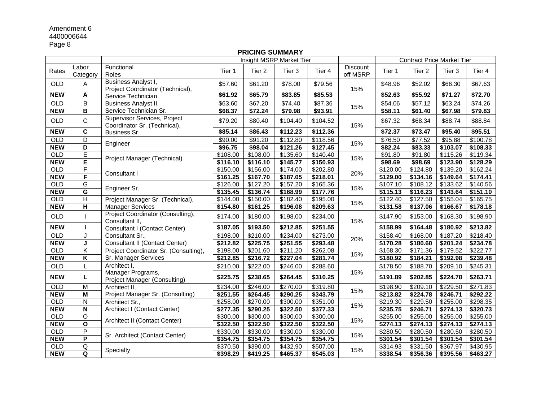#### Amendment 6 4400006644 Page 8

#### **PRICING SUMMARY**

|                  |                         |                                                              | Insight MSRP Market Tier |                   | <b>Contract Price Market Tier</b> |                  |                             |          |                   |                   |                      |
|------------------|-------------------------|--------------------------------------------------------------|--------------------------|-------------------|-----------------------------------|------------------|-----------------------------|----------|-------------------|-------------------|----------------------|
| Rates            | Labor<br>Category       | Functional<br>Roles                                          | Tier 1                   | Tier <sub>2</sub> | Tier <sub>3</sub>                 | Tier 4           | <b>Discount</b><br>off MSRP | Tier 1   | Tier <sub>2</sub> | Tier <sub>3</sub> | Tier 4               |
| <b>OLD</b>       | A                       | Business Analyst I,<br>Project Coordinator (Technical),      | \$57.60                  | \$61.20           | \$78.00                           | \$79.56          | 15%                         | \$48.96  | \$52.02           | \$66.30           | \$67.63              |
| <b>NEW</b>       | A                       | Service Technician                                           | \$61.92                  | \$65.79           | \$83.85                           | \$85.53          |                             | \$52.63  | \$55.92           | \$71.27           | \$72.70              |
| <b>OLD</b>       | B                       | <b>Business Analyst II,</b>                                  | \$63.60                  | \$67.20           | \$74.40                           | \$87.36          |                             | \$54.06  | \$57.12           | \$63.24           | \$74.26              |
| <b>NEW</b>       | $\, {\bf B}$            | Service Technician Sr.                                       | \$68.37                  | \$72.24           | \$79.98                           | \$93.91          | 15%                         | \$58.11  | \$61.40           | \$67.98           | \$79.83              |
| <b>OLD</b>       | $\mathsf{C}$            | Supervisor Services, Project<br>Coordinator Sr. (Technical), | \$79.20                  | \$80.40           | \$104.40                          | \$104.52         | 15%                         | \$67.32  | \$68.34           | \$88.74           | \$88.84              |
| <b>NEW</b>       | $\mathbf c$             | Business Sr.                                                 | \$85.14                  | \$86.43           | \$112.23                          | \$112.36         |                             | \$72.37  | \$73.47           | \$95.40           | \$95.51              |
| <b>OLD</b>       | D                       |                                                              | \$90.00                  | \$91.20           | \$112.80                          | \$118.56         | 15%                         | \$76.50  | \$77.52           | \$95.88           | \$100.78             |
| <b>NEW</b>       | D                       | Engineer                                                     | \$96.75                  | \$98.04           | \$121.26                          | \$127.45         |                             | \$82.24  | \$83.33           | \$103.07          | \$108.33             |
| <b>OLD</b>       | E                       | Project Manager (Technical)                                  | \$108.00                 | \$108.00          | \$135.60                          | \$140.40         | 15%                         | \$91.80  | \$91.80           | \$115.26          | \$119.34             |
| <b>NEW</b>       | E                       |                                                              | \$116.10                 | \$116.10          | \$145.77                          | $\sqrt{$150.93}$ |                             | \$98.69  | \$98.69           | \$123.90          | $\overline{$}128.29$ |
| <b>OLD</b>       | F                       |                                                              | \$150.00                 | \$156.00          | \$174.00                          | \$202.80         |                             | \$120.00 | \$124.80          | \$139.20          | \$162.24             |
| <b>NEW</b>       | F                       | Consultant I                                                 | \$161.25                 | \$167.70          | \$187.05                          | \$218.01         | 20%                         | \$129.00 | \$134.16          | \$149.64          | \$174.41             |
| <b>OLD</b>       | G                       | Engineer Sr.                                                 | \$126.00                 | \$127.20          | \$157.20                          | \$165.36         | 15%                         | \$107.10 | \$108.12          | \$133.62          | \$140.56             |
| <b>NEW</b>       | G                       |                                                              | \$135.45                 | \$136.74          | \$168.99                          | \$177.76         |                             | \$115.13 | \$116.23          | \$143.64          | \$151.10             |
| $\overline{OLD}$ | Н                       | Project Manager Sr. (Technical),                             | \$144.00                 | \$150.00          | \$182.40                          | \$195.00         |                             | \$122.40 | \$127.50          | \$155.04          | \$165.75             |
| <b>NEW</b>       | н                       | <b>Manager Services</b>                                      | \$154.80                 | \$161.25          | \$196.08                          | \$209.63         | 15%                         | \$131.58 | \$137.06          | \$166.67          | \$178.18             |
| <b>OLD</b>       |                         | Project Coordinator (Consulting),<br>Consultant II,          | \$174.00                 | \$180.00          | \$198.00                          | \$234.00         | 15%                         | \$147.90 | \$153.00          | \$168.30          | \$198.90             |
| <b>NEW</b>       | ı                       | <b>Consultant I (Contact Center)</b>                         | \$187.05                 | \$193.50          | \$212.85                          | \$251.55         |                             | \$158.99 | \$164.48          | \$180.92          | \$213.82             |
| $\overline{OLD}$ | J                       | Consultant Sr.,                                              | \$198.00                 | \$210.00          | \$234.00                          | \$273.00         |                             | \$158.40 | \$168.00          | \$187.20          | \$218.40             |
| <b>NEW</b>       | J                       | <b>Consultant II (Contact Center)</b>                        | \$212.82                 | \$225.75          | \$251.55                          | \$293.48         | 20%                         | \$170.28 | \$180.60          | \$201.24          | \$234.78             |
| <b>OLD</b>       | Κ                       | Project Coordinator Sr. (Consulting),                        | \$198.00                 | \$201.60          | \$211.20                          | \$262.08         |                             | \$168.30 | \$171.36          | \$179.52          | \$222.77             |
| <b>NEW</b>       | K                       | Sr. Manager Services                                         | \$212.85                 | \$216.72          | $\sqrt{$227.04}$                  | \$281.74         | 15%                         | \$180.92 | \$184.21          | \$192.98          | \$239.48             |
| <b>OLD</b>       |                         | Architect I.                                                 | \$210.00                 | \$222.00          | \$246.00                          | \$288.60         |                             | \$178.50 | \$188.70          | \$209.10          | \$245.31             |
| <b>NEW</b>       | L                       | Manager Programs,<br>Project Manager (Consulting)            | \$225.75                 | \$238.65          | \$264.45                          | \$310.25         | 15%                         | \$191.89 | \$202.85          | \$224.78          | \$263.71             |
| <b>OLD</b>       | M                       | Architect II.                                                | \$234.00                 | \$246.00          | \$270.00                          | \$319.80         | 15%                         | \$198.90 | \$209.10          | \$229.50          | \$271.83             |
| <b>NEW</b>       | M                       | Project Manager Sr. (Consulting)                             | \$251.55                 | \$264.45          | \$290.25                          | \$343.79         |                             | \$213.82 | \$224.78          | \$246.71          | \$292.22             |
| <b>OLD</b>       | $\mathsf{N}$            | Architect Sr.,                                               | \$258.00                 | \$270.00          | $\sqrt{$300.00}$                  | \$351.00         |                             | \$219.30 | \$229.50          | \$255.00          | \$298.35             |
| <b>NEW</b>       | $\overline{\mathbf{N}}$ | Architect I (Contact Center)                                 | \$277.35                 | \$290.25          | \$322.50                          | \$377.33         | 15%                         | \$235.75 | \$246.71          | \$274.13          | \$320.73             |
| <b>OLD</b>       | O                       | \$300.00                                                     | \$300.00                 | \$300.00          | \$300.00                          |                  | \$255.00                    | \$255.00 | \$255.00          | \$255.00          |                      |
| <b>NEW</b>       | $\mathbf{o}$            | Architect II (Contact Center)                                | \$322.50                 | \$322.50          | \$322.50                          | \$322.50         | 15%                         | \$274.13 | \$274.13          | \$274.13          | \$274.13             |
| <b>OLD</b>       | P                       |                                                              | \$330.00                 | \$330.00          | \$330.00                          | \$330.00         | 15%                         | \$280.50 | \$280.50          | \$280.50          | \$280.50             |
| <b>NEW</b>       | $\overline{\mathsf{P}}$ | Sr. Architect (Contact Center)                               | \$354.75                 | \$354.75          | \$354.75                          | \$354.75         |                             | \$301.54 | \$301.54          | \$301.54          | \$301.54             |
| <b>OLD</b>       | Q                       | Specialty                                                    | \$370.50                 | \$390.00          | \$432.90                          | \$507.00         | 15%                         | \$314.93 | \$331.50          | \$367.97          | \$430.95             |
| <b>NEW</b>       | Q                       |                                                              | \$398.29                 | \$419.25          | \$465.37                          | \$545.03         |                             | \$338.54 | \$356.36          | \$395.56          | \$463.27             |